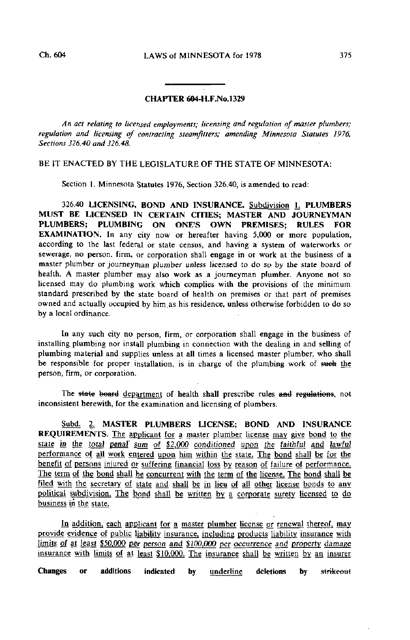## CHAPTER 604-H.F.N0.1329

An act relating to licensed employments; licensing and regulation of master plumbers; regulation and licensing of contracting steamfitters; amending Minnesota Statutes 1976, Sections 326.40 and 326.48.

## BE IT ENACTED BY THE LEGISLATURE OF THE STATE OF MINNESOTA:

Section 1. Minnesota Statutes 1976, Section 326.40, is amended to read:

326.40 LICENSING, BOND AND INSURANCE. Subdivision L\_ PLUMBERS MUST BE LICENSED IN CERTAIN CITIES; MASTER AND JOURNEYMAN PLUMBERS; PLUMBING ON ONE'S OWN PREMISES; RULES FOR EXAMINATION. In any city now or hereafter having 5,000 or more population, according to the last federal or state census, and having a system of waterworks or sewerage, no person, firm, or corporation shall engage in or work at the business of a master plumber or journeyman plumber unless licensed to do so by the state board of health. A master plumber may also work as a journeyman plumber. Anyone not so licensed may do plumbing work which complies with the provisions of the minimum standard prescribed by the state board of health on premises or that part of premises owned and actually occupied by him.as his residence, unless otherwise forbidden to do so by a local ordinance.

In any such city no person, firm, or corporation shall engage in the business of installing plumbing nor install plumbing in connection with the dealing in and selling of plumbing material and supplies unless at all times a licensed master plumber, who shall be responsible for proper installation, is in charge of the plumbing work of such the person, firm, or corporation.

The state board department of health shall prescribe rules and regulations, not inconsistent herewith, for the examination and licensing of plumbers.

Subd. 2. MASTER PLUMBERS LICENSE; BOND AND INSURANCE REQUIREMENTS. The applicant for a master plumber license may give bond to the state in the total penal' sum of \$2,000 conditioned upon the faithful and lawful performance of all work entered upon him within the state. The bond shall be for the benefit of persons injured or suffering financial loss by reason of failure of performance. The term of the bond shall be concurrent with the term of the license. The bond shall be filed with the secretary of state and shall be in lieu of all other license bonds to any political subdivision. The bond shall be written by a corporate surety licensed to do business in the state.

In addition, each applicant for a master plumber license or renewal thereof, may provide evidence of public liability insurance, including products liability insurance with limits of at least \$50,000 per person and \$100,000 per occurrence and property damage insurance with limits of at least \$10.000. The insurance shall be written by an insurer

Changes or additions indicated by underline deletions by strikeout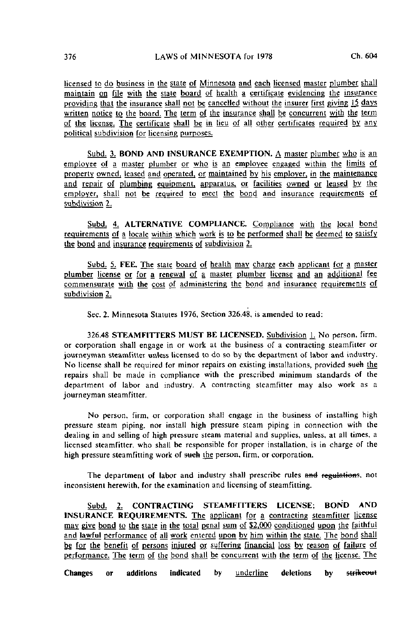licensed to do business in the state of Minnesota and each licensed master plumber shall maintain on file with the state board of health a certificate evidencing the insurance providing that the insurance shall not be cancelled without the insurer first giving 15 days written notice to the board. The term of the insurance shall be concurrent wjth the term of the license. The certificate shall be in lieu of all other certificates required by any political subdivision for licensing purposes.

Subd. 3. BOND AND INSURANCE EXEMPTION. A master plumber who is an employee of a master plumber or who is an employee engaged within the limits of property owned, leased and operated, or maintained by his employer, in the maintenance and repair of plumbing equipment, apparatus, or facilities owned or leased by the employer, shall not be required to meet the bond and insurance requirements of subdivision 2.

Subd. 4. ALTERNATIVE COMPLIANCE. Compliance with the local bond requirements of a locale within which work is to be performed shall be deemed to satisfy the bond and insurance requirements of subdivision  $2$ .

Subd. 5. FEE. The state board of health may charge each applicant for a master plumber license or for a renewal of a master plumber license and an additional fee commensurate wjth the cost of administering the bond and insurance requirements of subdivision 2.

Sec. 2. Minnesota Statutes 1976, Section 326.48, is amended to read:

326.48 STEAMFITTERS MUST BE LICENSED. Subdivision L No person, firm, or corporation shall engage in or work at the business of a contracting steamfitter or journeyman steamfitter unless licensed to do so by the department of labor and industry. No license shall be required for minor repairs on existing installations, provided such the repairs shall be made in compliance with the prescribed minimum standards of the department of labor and industry. A contracting steamfitter may also work as a journeyman steamfitter.

No person, firm, or corporation shall engage in the business of installing high pressure steam piping, nor install high pressure steam piping in connection with the dealing in and selling of high pressure steam material and supplies, unless, at all limes, a licensed steamfitter, who shall be responsible for proper installation, is in charge of the high pressure steamfitting work of such the person, firm, or corporation.

The department of labor and industry shall prescribe rules and regulations, not inconsistent herewith, for the examination and licensing of steamfilting.

Subd. 2. CONTRACTING STEAMFITTERS LICENSE; BOND AND INSURANCE REQUIREMENTS. The applicant for a contracting steamfitter license may give bond to the state in the total penal sum of \$2,000 conditioned upon the faithful and lawful performance of all work entered upon by him within the state. The bond shall be for the benefit of persons injured or suffering financial loss by reason of failure of performance. The term of the bond shall be concurrent with the term of the license. The

Changes or additions indicated by <u>underline</u> deletions by <del>strikeout</del>